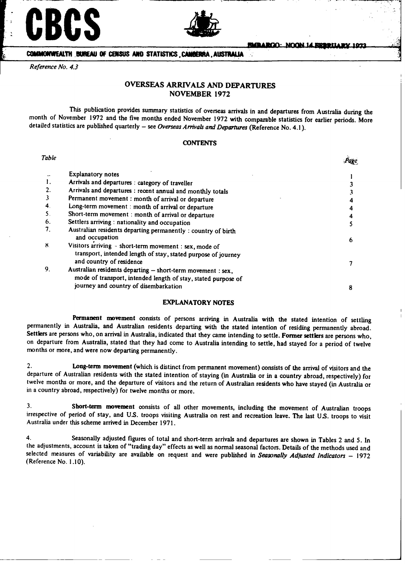# **CBCS**



**COMMONWEALT .BUREAU OF CENSUS ANO STATISTICS** , **CAiR , AUSTMIU** A **:**

*Reference No. 4.3*

## **OVERSEAS ARRIVALS AND DEPARTURES NOVEMBER 1972**

This publication provides summary statistics of overseas arrivals in and departures from Australia during the month of November 1972 and the five months ended November 1972 with comparable statistics for earlier periods. More detailed statistics are published quarterly - see Overseas Arrivals and Departures (Reference No. 4.1).

#### **CONTENTS**

| Table |                                                                                                                                                     |   |
|-------|-----------------------------------------------------------------------------------------------------------------------------------------------------|---|
|       | <b>Explanatory notes</b>                                                                                                                            |   |
|       | Arrivals and departures : category of traveller                                                                                                     |   |
|       | Arrivals and departures : recent annual and monthly totals                                                                                          |   |
|       | Permanent movement : month of arrival or departure                                                                                                  |   |
| 4.    | Long-term movement : month of arrival or departure                                                                                                  |   |
|       | Short-term movement : month of arrival or departure                                                                                                 |   |
| 6.    | Settlers arriving : nationality and occupation                                                                                                      |   |
| 7.    | Australian residents departing permanently : country of birth<br>and occupation                                                                     | 6 |
| 8.    | Visitors arriving - short-term movement : sex, mode of<br>transport, intended length of stay, stated purpose of journey<br>and country of residence |   |
| 9.    | Australian residents departing - short-term movement : sex,<br>mode of transport, intended length of stay, stated purpose of                        |   |
|       | journey and country of disembarkation                                                                                                               | 8 |

#### **EXPLANATORY NOTES**

Permanent movement consists of persons arriving in Australia with the stated intention of settling permanently in Australia, and Australian residents departing with the stated intention of residing permanently abroad. Settlers are persons who, on arrival in Australia, indicated that they came intending to settle. Former settlers are persons who, on departure from Australia, stated that they had come to Australia intending to settle, had months or more, and were now departing permanently.

2. Long-term movement (which is distinct from permanent movement) consists of the arrival of visitors and the departure of Australian residents with the stated intention of staying (in Australia or in a country abroad, respectively) for twelve months or more, and the departure of visitors and the return of Australian residents who have stayed (in Australia or in a country abroad, respectively) for twelve months or more.

3. Short-term movement consists of all other movements, including the movement of Australian troops irrespective of period of stay, and U.S. troops visiting Australia on rest and recreation leave. The last U.S. troops to visit Australia under this scheme arrived in December 1971.

4. Seasonally adjusted figures of total and short-term arrivals and departures are shown in Tables 2 and 5. In the adjustments, account is taken of "trading day" effects as well as normal seasonal factors. Details of the methods used and selected measures of variability are available on request and were published in *Seasonally Adjusted Indicators* - 1972 (Reference No. 1.10).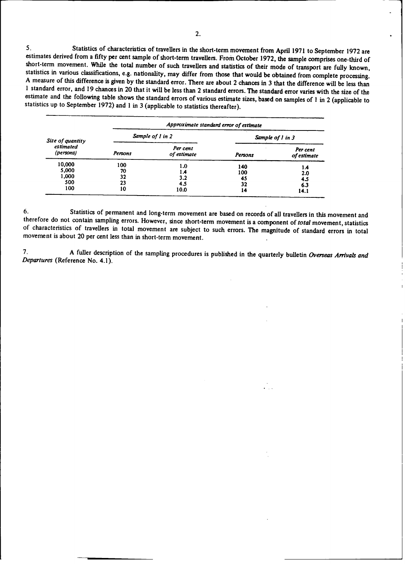5. Statistics of characteristics of travellers in the short-term movement from April 1971 to September 1972 are estimates derived from a fifty per cent sample of short-term travellers. From October 1972, the sample compri

|                                        |                             | Approximate standard error of estimate |                              |                                  |  |  |  |  |  |
|----------------------------------------|-----------------------------|----------------------------------------|------------------------------|----------------------------------|--|--|--|--|--|
| Size of quantity                       |                             | Sample of 1 in 2                       | Sample of 1 in 3             |                                  |  |  |  |  |  |
| estimated<br>(persons)                 | Persons                     | Per cent<br>of estimate                | Persons                      | Per cent<br>of estimate          |  |  |  |  |  |
| 10,000<br>5,000<br>1,000<br>500<br>100 | 100<br>70<br>32<br>23<br>10 | 1.0<br>1.4<br>3.2<br>4.5<br>10.0       | 140<br>100<br>45<br>32<br>14 | 1.4<br>2.0<br>4.5<br>6.3<br>14.1 |  |  |  |  |  |

6. Statistics of permanent and long-term movement are based on records of all travellers in this movement and therefore do not contain sampling errors. However, since short-term movement is a component of *total* movement, **of characteristics of travellers in total movement are subject to such errors. The magnitude of standard errors in total movement is about 20 per cent less than in short-term movement.**

**7. A fuller description of the sampling procedures is published in** the **quarterly** bulletin *Overseas Arrivals and Departures* **(Reference No. 4.1).**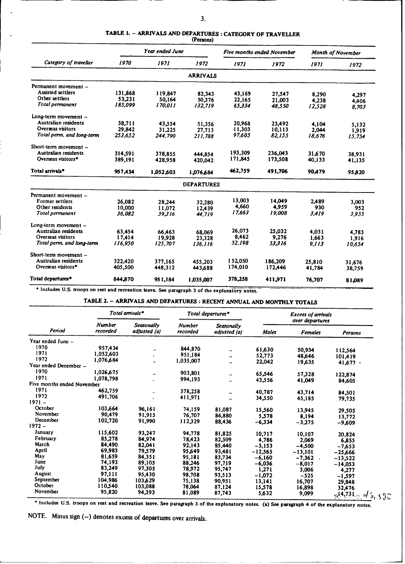|                             |         | Year ended June |                   |         | Five months ended November | Month of November |        |
|-----------------------------|---------|-----------------|-------------------|---------|----------------------------|-------------------|--------|
| Category of traveller       | 1970    | 1971            | 1972              | 1971    | 1972                       | 1971              | 1972   |
|                             |         |                 | <b>ARRIVALS</b>   |         |                            |                   |        |
| Permanent movement -        |         |                 |                   |         |                            |                   |        |
| Assisted settlers           | 131,868 | 119,847         | 82,343            | 43,169  | 27,547                     | 8,290             | 4,297  |
| Other settlers              | 53,231  | 50,164          | 50,376            | 22,165  | 21,003                     | 4,238             | 4,406  |
| Total permanent             | 185.099 | 170.011         | 132,719           | 65.334  | 48.550                     | 12,528            | 8.703  |
| Long-term movement -        |         |                 |                   |         |                            |                   |        |
| Australian residents        | 38.711  | 43.554          | 51.356            | 20,968  | 23.492                     | 4.104             | 5,132  |
| Overseas visitors           | 29.842  | 31,225          | 27,713            | 11,303  | 10,113                     | 2.044             | 1.919  |
| Total perm. and long-term   | 253.652 | 244.790         | 211.788           | 97.605  | 82,155                     | 18,676            | 15,754 |
| Short-term movement -       |         |                 |                   |         |                            |                   |        |
| Australian residents        | 314.591 | 378,855         | 444,854           | 193,309 | 236,043                    | 31,670            | 38,931 |
| Overseas visitors*          | 389,191 | 428,958         | 420.042           | 171,845 | 173,508                    | 40,133            | 41,135 |
| Total arrivals <sup>®</sup> | 957,434 | 1,052,603       | 1,076,684         | 462,759 | 491,706                    | 90,479            | 95,820 |
|                             |         |                 | <b>DEPARTURES</b> |         |                            |                   |        |
| Permanent movement -        |         |                 |                   |         |                            |                   |        |
| Former settlers             | 26.082  | 28.244          | 32,280            | 13,003  | 14.049                     | 2,489             | 3,003  |
| Other residents             | 10,000  | 11,072          | 12,439            | 4,660   | 4.959                      | 930               | 952    |
| Total permanent             | 36.082  | 39.316          | 44.719            | 17.663  | 19.008                     | 3.419             | 3,955  |
| Long-term movement -        |         |                 |                   |         |                            |                   |        |
| Australian residents        | 63.454  | 66.463          | 68,069            | 26,073  | 25,032                     | 4,031             | 4,783  |
| Overseas visitors           | 17,414  | 19,928          | 23.328            | 8,462   | 9,276                      | 1.663             | 1,916  |
| Total perm, and long-term   | 116.950 | 125.707         | 136.116           | 52,198  | 53.316                     | 9.113             | 10.654 |
| Short-term movement -       |         |                 |                   |         |                            |                   |        |
| Australian residents        | 322,420 | 377.165         | 455,203           | 152.050 | 186,209                    | 25,810            | 31,676 |
| Overseas visitors*          | 405,500 | 448.312         | 443,688           | 174,010 | 172,446                    | 41.784            | 38,759 |
| Total departures*           | 844,870 | 951,184         | 1,035,007         | 378,258 | 411.971                    | 76,707            | 81.089 |

# **TABLE 1.** - **ARRIVALS AND DEPARTURES :CATEGORY OF TRAVELLER**

**(Persons)**

**"** Includes U.S. troops on **rest** and recreation leave. See paragraph **3** of the explanatory notes.

**TABLE 2.** - **ARRIVALS AND DEPARTURES** : **RECENT ANNUAL AND MONTHLY TOTALS**

|                            |                           | Total arrivals*            |                           | Total departures*          |              | <b>Excess of arrivals</b>         |                                   |  |  |
|----------------------------|---------------------------|----------------------------|---------------------------|----------------------------|--------------|-----------------------------------|-----------------------------------|--|--|
| Period                     | <b>Number</b><br>recorded | Seasonally<br>adjusted (a) | <b>Number</b><br>recorded | Seasonally<br>adjusted (a) | <b>Males</b> | over departures<br><b>Females</b> | Persons                           |  |  |
| Year ended June -          |                           |                            |                           |                            |              |                                   |                                   |  |  |
| 1970                       | 957,434                   |                            | 844,870                   |                            | 61,630       |                                   |                                   |  |  |
| 1971                       | 1,052,603                 | $\ddotsc$<br>$\cdot$       | 951,184                   | $\ddot{\phantom{0}}$       |              | 50,934                            | 112,564                           |  |  |
| 1972                       | 1,076,684                 |                            | 1,035,007                 | $\ddot{\phantom{0}}$       | 52,773       | 48.646                            | 101,419                           |  |  |
| Year ended December -      |                           | $\bullet\bullet$           |                           |                            | 22,042       | 19,635                            | $41,677$ .                        |  |  |
| 1970                       | 1,026,675                 |                            | 903,801                   |                            |              |                                   |                                   |  |  |
| 1971                       | 1,078,798                 | ٠.                         | 994,193                   | $\ddotsc$                  | 65,546       | 57,328                            | 122,874                           |  |  |
| Five months ended November |                           | $\ddotsc$                  |                           |                            | 43,556       | 41,049                            | 84,605                            |  |  |
| 1971                       | 462,759                   |                            |                           |                            |              |                                   |                                   |  |  |
| 1972                       | 491,706                   |                            | 378,258                   |                            | 40,787       | 43,714                            | 84,501                            |  |  |
| $1971 -$                   |                           |                            | 411,971                   |                            | 34,550       | 45,185                            | 79,735                            |  |  |
| October                    | 103,664                   | 96,161                     |                           |                            |              |                                   |                                   |  |  |
| November                   | 90,479                    | 91,915                     | 74,159                    | 81,087                     | 15,560       | 13,945                            | 29,505                            |  |  |
| December                   | 102,720                   |                            | 76,707                    | 84,880                     | 5,578        | 8,194                             | 13,772                            |  |  |
| $1972 -$                   |                           | 91,990                     | 112,329                   | 88,436                     | $-6,334$     | $-3,275$                          | $-9,609$                          |  |  |
| January                    | 115,602                   | 93,247                     | 94,778                    |                            |              |                                   |                                   |  |  |
| February                   | 85,278                    |                            |                           | 81,825                     | 10,717       | 10,107                            | 20,824                            |  |  |
| March                      | 84,490                    | 84,974                     | 78,423                    | 82,509                     | 4,786        | 2,069                             | 6,855                             |  |  |
| April                      | 69,983                    | 82,041                     | 92,143                    | 85,440                     | $-3,153$     | $-4,500$                          | $-7,653$                          |  |  |
| May                        | 81,659                    | 79,579                     | 95,649                    | 93,481                     | $-12.565$    | $-13,101$                         | $-25,666$                         |  |  |
| June                       | 74,193                    | 84,351                     | 95,181                    | 83,734                     | $-6,160$     | $-7,362,7$                        | $-13,522$                         |  |  |
| July                       | 83,249                    | 89,105                     | 88,246                    | 97,719                     | $-6,036$     | $-8,017$                          | $-14,053$                         |  |  |
| August                     |                           | 97,305                     | 78,972                    | 95,747                     | 1,271        | 3,006                             | 4,277                             |  |  |
| September                  | 97,111                    | 95,430                     | 98,708                    | 93,513                     | $-1.072$     | $-525$                            | -1,597                            |  |  |
| October                    | 104.986                   | 103,629                    | 75,138                    | 90,951                     | 13,141       | 16,707                            | 29,848                            |  |  |
|                            | 110,540                   | 103,088                    | 78,064                    | 87,124                     | 15,578       | 16,898                            | 32,476                            |  |  |
| November                   | 95,820                    | 94,393                     | 81,089                    | 87,743                     | 5,632        | 9,099                             | $\sqrt{14,731}$<br>$\circ$ d's, s |  |  |

Includes U.S. troops on rest and recreation leave. See paragraph 3 **of** the explanatory notes. (a) See paragraph 4 **of** the explanatory notes.

NOTE. Minus sign (-) denotes excess of departures over arrivals.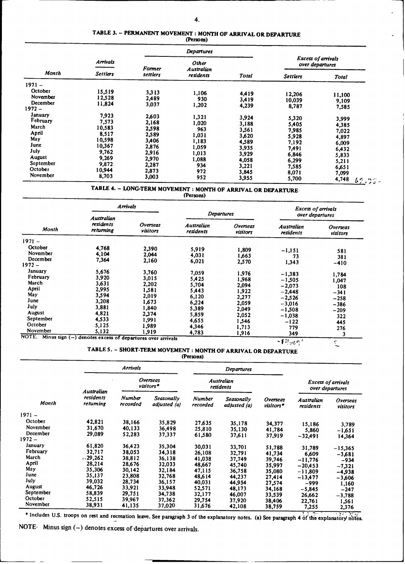# **TABLE 3.** - **PERMANENT MOVEMENT** : **MONTH OF ARRIVAL OR DEPARTURE (Persons)**

| (Persons) |
|-----------|
|-----------|

|                      |                  |                | Departures                 |                |                                              |                                                                   |  |
|----------------------|------------------|----------------|----------------------------|----------------|----------------------------------------------|-------------------------------------------------------------------|--|
|                      | <b>Arrivals</b>  | <b>Former</b>  | <b>Other</b><br>Australian |                | <b>Excess of arrivals</b><br>over departures |                                                                   |  |
| Month                | <b>Settlers</b>  | settlers       | residents                  | <b>Total</b>   | <b>Settlers</b>                              | <b>Total</b>                                                      |  |
| $1971 -$             |                  |                |                            |                |                                              |                                                                   |  |
| October<br>November  | 15,519<br>12,528 | 3.313<br>2,489 | 1,106<br>930               | 4,419<br>3,419 | 12,206<br>10,039                             | 11,100<br>9,109                                                   |  |
| December<br>$1972 -$ | 11,824           | 3,037          | 1,202                      | 4,239          | 8,787                                        | 7,585                                                             |  |
| January<br>February  | 7,923            | 2,603          | 1,321                      | 3,924          | 5,320                                        | 3,999                                                             |  |
| March                | 7,573<br>10,583  | 2,168<br>2,598 | 1,020<br>963               | 3,188<br>3,561 | 5,405<br>7,985                               | 4,385<br>7,022                                                    |  |
| April<br>May         | 8,517<br>10,598  | 2,589<br>3,406 | 1,031<br>1,183             | 3,620<br>4,589 | 5,928                                        | 4,897                                                             |  |
| June<br>July         | 10,367<br>9,762  | 2,876          | 1,059                      | 3,935          | 7,192<br>7,491                               | 6,009<br>6,432                                                    |  |
| <b>August</b>        | 9,269            | 2,916<br>2,970 | 1,013<br>1,088             | 3,929<br>4,058 | 6,846<br>6,299                               | 5,833<br>5,211                                                    |  |
| September<br>October | 9,872<br>10.944  | 2,287<br>2,873 | 934<br>972                 | 3,221<br>3,845 | 7,585                                        | 6,651                                                             |  |
| November             | 8,703            | 3,003          | 952                        | 3,955          | 8,071<br>5,700                               | 7,099<br>4,748<br>6 <sup>7</sup><br>$\frac{1}{2}$ , $\frac{1}{2}$ |  |
|                      | -----            |                |                            |                |                                              |                                                                   |  |

### TABLE 4. - LONG-TERM MOVEMENT : MONTH **OF** ARRIVAL OR DEPARTURE

**(Persons)**

|                                 | <b>Arrivals</b>                                           |                      |                         |                             | <b>Excess of arrivals</b>      |                      |  |
|---------------------------------|-----------------------------------------------------------|----------------------|-------------------------|-----------------------------|--------------------------------|----------------------|--|
| <b>Month</b>                    | Australian                                                |                      | <b>Departures</b>       |                             | over departures                |                      |  |
|                                 | residents<br>returning                                    | Overseas<br>visitors | Australian<br>residents | <b>Overseas</b><br>visitors | <b>Australian</b><br>residents | Overseas<br>visitors |  |
| $1971 -$                        |                                                           |                      |                         |                             |                                |                      |  |
| October<br>November<br>December | 4,768<br>4,104                                            | 2.390<br>2.044       | 5,919<br>4,031          | 1,809<br>1,663              | $-1,151$<br>73                 | 581<br>381           |  |
| $1972 -$                        | 7,364                                                     | 2,160                | 6,021                   | 2,570                       | 1,343                          | $-410$               |  |
| January<br>February             | 5,676<br>3,920                                            | 3,760<br>3.015       | 7.059<br>5,425          | 1,976<br>1,968              | $-1,383$<br>$-1.505$           | 1,784                |  |
| March<br>April                  | 3,631<br>2,995                                            | 2,202<br>1,581       | 5,704<br>5,443          | 2,094<br>1,922              | $-2,073$                       | 1,047<br>108         |  |
| May<br>June                     | 3,594<br>3,208                                            | 2,019<br>1,673       | 6,120<br>6,224          | 2,277<br>2,059              | $-2,448$<br>$-2,526$           | $-341$<br>$-258$     |  |
| July<br><b>August</b>           | 3,881<br>4,821                                            | 1,840<br>2.374       | 5,389<br>5,859          | 2,049                       | $-3,016$<br>$-1,508$           | $-386$<br>$-209$     |  |
| September<br>October            | 4,533<br>5,125                                            | 1,991                | 4,655                   | 2,052<br>1.546              | $-1,038$<br>$-122$             | 322<br>445           |  |
| November                        | 5,132                                                     | 1.989<br>1.919       | 4,346<br>4,783          | 1,713<br>1,916              | 779<br>349                     | 276<br>3             |  |
| NOTE.                           | Minus sign (-) denotes excess of departures over arrivals |                      |                         |                             | 2.96                           |                      |  |

# **TABLE 5.** - **SHORT-TERM MOVEMENT** : **MONTH OF ARRIVAL OR DEPARTURE**

**(Persons)**

|                     |                                            | <b>Arrivals</b>    |                                |                    | Departures                 |                                              |                                |                      |
|---------------------|--------------------------------------------|--------------------|--------------------------------|--------------------|----------------------------|----------------------------------------------|--------------------------------|----------------------|
|                     | <b>Overseas</b><br>visitors*<br>Australian |                    | <b>Australian</b><br>residents |                    |                            | <b>Excess of arrivals</b><br>over departures |                                |                      |
| Month               | residents<br>returning                     | Number<br>recorded | Seasonally<br>adjusted (a)     | Number<br>recorded | Seasonally<br>adjusted (a) | Overseas<br>visitors*                        | <b>Australian</b><br>residents | Overseas<br>visitors |
| $1971 -$            |                                            |                    |                                |                    |                            |                                              |                                |                      |
| October<br>November | 42,821<br>31,670                           | 38,166<br>40,133   | 35,829<br>36,498               | 27,635<br>25,810   | 35,178<br>35,130           | 34,377<br>41,784                             | 15,186<br>5,860                | 3,789<br>$-1,651$    |
| December<br>1972 –  | 29,089                                     | 52,283             | 37,337                         | 61,580             | 37,611                     | 37,919                                       | $-32,491$                      | 14,364               |
| January<br>February | 61,820<br>32,717                           | 36.423<br>38.053   | 35,304<br>34,318               | 30,031<br>26,108   | 33,701<br>32,791           | 51,788<br>41,734                             | 31,789                         | $-15,365$            |
| March<br>April      | $\sqrt{29.262}$<br>28,214                  | 38,812<br>28.676   | 36,138                         | 41,038             | 37,749                     | 39,746                                       | 6.609<br>$-11,776$             | -3.681<br>$-934$     |
| May<br>June         | 35,306                                     | 30.142             | 32,033<br>32,184               | 48,667<br>47,115   | 45,740<br>36,758           | 35,997<br>35,080                             | $-20,453$<br>$-11.809$         | $-7,321$<br>-4938    |
| July                | 35,137<br>39,032                           | 23,808<br>28,734   | 32,768<br>36,157               | 48,614<br>40,031   | 44,237<br>44,954           | 27,414<br>27,574                             | $-13,477$<br>-999              | $-3,606$<br>1,160    |
| August<br>September | 46,726<br>58,839                           | 33,921<br>29,751   | 33,948<br>34,738               | 52,571<br>32,177   | 48,173<br>46,007           | 34,168<br>33,539                             | $-5.845$<br>26,662             | $-247$<br>$-3,788$   |
| October<br>November | 52,515<br>38,931                           | 39,967<br>41,135   | 37.362<br>37,020               | 29,754<br>31,676   | 37,920<br>42,108           | 38,406<br>38,759                             | 22,761<br>7,255                | 1,561<br>2.376       |

\* Includes U.S. troops on rest and recreation leave. See paragraph 3 of the explanatory notes. (a) See paragraph 4 of the explanatory notes.

**NOTE. Minus** sign **(-) denotes excess of devartures over arrivals.**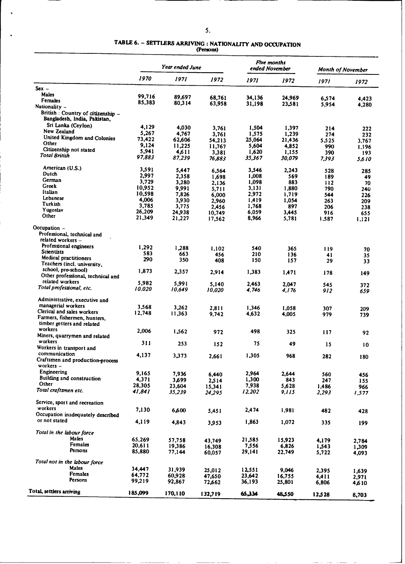#### **TABLE 6.** - **SETTLERS** ARRIVING : **NATIONALITY AND OCCUPATION (Persons)**

|                                                                    |                  | Year ended June  |                  |                | Five months<br>ended November |                | <b>Month of November</b> |  |
|--------------------------------------------------------------------|------------------|------------------|------------------|----------------|-------------------------------|----------------|--------------------------|--|
|                                                                    | 1970             | 1971             | 1972             | 1971           | 1972                          | 1971           | 1972                     |  |
| $Sex -$                                                            |                  |                  |                  |                |                               |                |                          |  |
| Males                                                              | 99,716           | 89,697           | 68,761           | 34,136         | 24,969                        |                |                          |  |
| Females                                                            | 85,383           | 80,314           | 63,958           | 31,198         | 23,581                        | 6,574<br>5,954 | 4,423<br>4,280           |  |
| Nationality -                                                      |                  |                  |                  |                |                               |                |                          |  |
| British : Country of citizenship -<br>Bangladesh, India, Pakistan, |                  |                  |                  |                |                               |                |                          |  |
| Sri Lanka (Ceylon)                                                 | 4,129            | 4,030            | 3,761            | 1,504          | 1,397                         | 214            | 222                      |  |
| New Zealand                                                        | 5,267            | 4,767            | 3.761            | 1,575          | 1,239                         | 274            | 232                      |  |
| United Kingdom and Colonies                                        | 73,422           | 62,606           | 54,213           | 25,064         | 21,436                        | 5.525          | 3.767                    |  |
| Other<br>Citizenship not stated                                    | 9,124            | 11,225           | 11,767           | 5,604          | 4,852                         | 990            | 1.196                    |  |
| Total British                                                      | 5,941            | 4,611            | 3,381            | 1,620          | 1,155                         | 390            | 193                      |  |
|                                                                    | 97,883           | 87,239           | 76,883           | 35,367         | 30,079                        | 7.393          | 5,610                    |  |
| American (U.S.)                                                    | 3,591            | 5,447            | 6,564            | 3,546          | 2.243                         | 528            | 285                      |  |
| Dutch                                                              | 2,997            | 2,358            | 1,698            | 1,008          | 569                           | 189            | 49                       |  |
| German                                                             | 3,729            | 3,280            | 2,136            | 1,098          | 883                           | 112            | 70                       |  |
| Greek                                                              | 10,952           | 9,991            | 5,711            | 3,131          | 1,880                         | 790            | 240                      |  |
| Italian                                                            | 10,598           | 7,826            | 6,000            | 2,972          | 1.719                         | 544            | 226                      |  |
| Lebanese<br>Turkish                                                | 4,006            | 3,930            | 2,960            | 1,419          | 1,054                         | 263            | 209                      |  |
| Yugoslav                                                           | 3,785            | 3,775            | 2,456            | 1,768          | 897                           | 206            | 238                      |  |
| Other                                                              | 26,209<br>21,349 | 24,938<br>21,227 | 10,749<br>17,562 | 6,059<br>8,966 | 3,445<br>5,781                | 916<br>1.587   | 655<br>1,121             |  |
| Occupation $-$                                                     |                  |                  |                  |                |                               |                |                          |  |
| Professional, technical and                                        |                  |                  |                  |                |                               |                |                          |  |
| related workers -                                                  |                  |                  |                  |                |                               |                |                          |  |
| Professional engineers                                             | 1,292            | 1,288            | 1.102            | 540            | 365                           | 119            | 70                       |  |
| <b>Scientists</b>                                                  | 583              | 663              | 456              | 210            | 136                           | 41             | 35                       |  |
| Medical practitioners                                              | 290              | 350              | 408              | 150            | 157                           | 29             | 33                       |  |
| Teachers (incl. university,                                        |                  |                  |                  |                |                               |                |                          |  |
| school, pre-school)<br>Other professional, technical and           | 1,873            | 2,357            | 2,914            | 1,383          | 1,471                         | 178            | 149                      |  |
| related workers                                                    | 5,982            |                  |                  |                |                               |                |                          |  |
| Total professional, etc.                                           | 10.020           | 5.991<br>10.649  | 5,140<br>10,020  | 2,463<br>4.746 | 2.047<br>4.176                | 545<br>912     | 372<br>659               |  |
| Administrative, executive and                                      |                  |                  |                  |                |                               |                |                          |  |
| managerial workers                                                 | 3,568            | 3,262            | 2,811            | 1,346          | 1,058                         |                |                          |  |
| Clerical and sales workers                                         | 12,748           | 11,363           | 9,742            | 4,632          | 4,005                         | 307<br>979     | 209<br>739               |  |
| Farmers, fishermen, hunters,                                       |                  |                  |                  |                |                               |                |                          |  |
| timber getters and related                                         |                  |                  |                  |                |                               |                |                          |  |
| workers                                                            | 2,006            | 1,562            | 972              | 498            | 325                           | 117            | 92                       |  |
| Miners, quarrymen and related                                      |                  |                  |                  |                |                               |                |                          |  |
| workers<br>Workers in transport and                                | 311              | 253              | 152              | 75             | 49                            | 15             | 10                       |  |
| communication                                                      |                  |                  |                  |                |                               |                |                          |  |
| Craftsmen and production-process                                   | 4,137            | 3,373            | 2,661            | 1,305          | 968                           | 282            | 180                      |  |
| workers -                                                          |                  |                  |                  |                |                               |                |                          |  |
| Engineering                                                        | 9,165            | 7,936            | 6,440            | 2,964          | 2.644                         | 560            |                          |  |
| Building and construction                                          | 4,371            | 3,699            | 2,514            | 1,300          | 843                           | 247            | 456<br>155               |  |
| Other                                                              | 28,305           | 23,604           | 15,341           | 7,938          | 5,628                         | 1,486          | 966                      |  |
| Total craftsmen etc.                                               | 41,841           | 35,239           | 24,295           | 12,202         | 9,115                         | 2,293          | 1,577                    |  |
| Service, sport and recreation                                      |                  |                  |                  |                |                               |                |                          |  |
| workers                                                            | 7,130            | 6,600            | 5,451            | 2,474          | 1,981                         | 482            | 428                      |  |
| Occupation inadequately described                                  |                  |                  |                  |                |                               |                |                          |  |
| or not stated                                                      | 4,119            | 4,843            | 3,953            | 1,863          | 1,072                         | 335            | 199                      |  |
| Total in the labour force                                          |                  |                  |                  |                |                               |                |                          |  |
| Males                                                              | 65,269           | 57,758           | 43,749           | 21,585         | 15,923                        | 4,179          | 2,784                    |  |
| Females                                                            | 20,611           | 19,386           | 16,308           | 7,556          | 6,826                         | 1,543          | 1,309                    |  |
| Persons                                                            | 85,880           | 77,144           | 60,057           | 29,141         | 22,749                        | 5,722          | 4,093                    |  |
| Total not in the labour force                                      |                  |                  |                  |                |                               |                |                          |  |
| Males                                                              | 34,447           | 31,939           | 25,012           | 12,551         | 9.046                         | 2,395          | 1,639                    |  |
| Females                                                            | 64,772           | 60,928           | 47,650           | 23,642         | 16,755                        | 4,411          | 2,971                    |  |
| Persons                                                            | 99,219           | 92,867           | 72,662           | 36,193         | 25,801                        | 6,806          | 4,610                    |  |
| Totai, settlers arriving                                           | 185,099          | 170,110          | 132,719          | 65.334         | 48.550                        | 12,528         | 8,703                    |  |
|                                                                    |                  |                  |                  |                |                               |                |                          |  |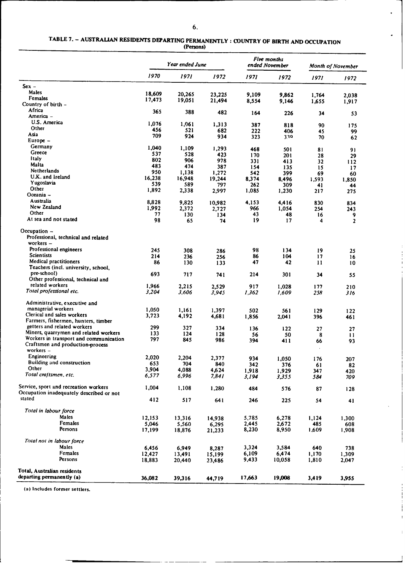$\ddot{\phantom{0}}$ 

 $\ddot{\phantom{0}}$ 

 $\overline{1}$ 

# **TABLE 7.** - **AUSTRALIAN RESIDENTS DEPARTING PERMANENTLY : COUNTRY OF BIRTH AND OCCUPATION (Persons)**

|                                                     |                 | Year ended June |                  |                | Five months<br>ended November |              | <b>Month of November</b> |
|-----------------------------------------------------|-----------------|-----------------|------------------|----------------|-------------------------------|--------------|--------------------------|
|                                                     | 1970            | 1971            | 1972             | 1971           | 1972                          | 1971         | 1972                     |
| $Sex -$                                             |                 |                 |                  |                |                               |              |                          |
| Males                                               | 18,609          | 20,265          | 23,225           | 9,109          | 9.862                         | 1,764        | 2,038                    |
| Females                                             | 17,473          | 19,051          | 21,494           | 8,554          | 9,146                         | 1,655        | 1,917                    |
| Country of birth -                                  |                 |                 |                  |                |                               |              |                          |
| Africa                                              | 365             | 388             | 482              | 164            | 226                           | 34           | 53                       |
| America -<br>U.S. America                           |                 |                 |                  |                |                               |              |                          |
| Other                                               | 1,076           | 1,061           | 1,313            | 387            | 818                           | 90           | 175                      |
| Asia                                                | 456             | 521             | 682              | 222            | 406                           | 45           | 99                       |
| Europe $-$                                          | 709             | 924             | 934              | 323            | 339                           | 70           | 62                       |
| Germany                                             | 1,040           |                 |                  |                |                               |              |                          |
| Greece                                              | 537             | 1,109<br>528    | 1,293            | 468            | 50 I                          | 81           | 91                       |
| <b>Italy</b>                                        | 802             | 906             | 423<br>978       | 170            | 201                           | 28           | 29                       |
| Malta                                               | 483             | 474             | 387              | 331<br>154     | 413                           | 32           | 112                      |
| <b>Netherlands</b>                                  | 950             | 1,138           | 1,272            | 542            | 135<br>399                    | 15<br>69     | 17                       |
| U.K. and Ireland                                    | 16,238          | 16,948          | 19,244           | 8,374          | 8,496                         | 1,593        | 60<br>1,850              |
| Yugoslavia                                          | 539             | 589             | 797              | 262            | 309                           | 41           | 44                       |
| Other                                               | 1,892           | 2,338           | 2,997            | 1,085          | 1,230                         | 217          | 275                      |
| Oceania –                                           |                 |                 |                  |                |                               |              |                          |
| Australia                                           | 8,828           | 9,825           | 10,982           | 4,153          | 4,416                         | 830          | 834                      |
| New Zealand                                         | 1,992           | 2,372           | 2,727            | 966            | 1,054                         | 254          | 243                      |
| Other                                               | 77              | 130             | 134              | 43             | 48                            | 16           | 9                        |
| At sea and not stated                               | 98              | 65              | 74               | 19             | 17                            | 4            | $\overline{2}$           |
| Occupation -<br>Professional, technical and related |                 |                 |                  |                |                               |              |                          |
| workers $-$                                         |                 |                 |                  |                |                               |              |                          |
| Professional engineers                              | 245             |                 |                  | 98             | 134                           | 19           |                          |
| <b>Scientists</b>                                   | 214             | 308<br>236      | 286<br>256       | 86             | 104                           | 17           | 25<br>16                 |
| Medical practitioners                               | 86              | 130             | 133              | 47             | 42                            | 11           | 10                       |
| Teachers (incl. university, school,                 |                 |                 |                  |                |                               |              |                          |
| pre-school)                                         | 693             | 717             | 741              | 214            | 301                           | 34           | 55                       |
| Other professional, technical and                   |                 |                 |                  |                |                               |              |                          |
| related workers                                     | 1,966           | 2.215           | 2,529            | 917            | 1,028                         | 177          | 210                      |
| Total professional etc.                             | 3,204           | 3,606           | 3.945            | 1,362          | 1,609                         | 258          | 316                      |
| Administrative, executive and                       |                 |                 |                  |                |                               |              |                          |
| managerial workers                                  | 1,050           | 1,161           | 1.397            | 502            | 561                           | 129          | 122                      |
| Clerical and sales workers                          | 3,723           | 4,192           | 4,681            | 1,856          | 2,041                         | 396          | 461                      |
| Farmers, fishermen, hunters, timber                 |                 |                 |                  |                |                               |              |                          |
| getters and related workers                         | 299             | 327             | 334              | 136            | 122                           | 27           | 27                       |
| Miners, quarrymen and related workers               | 133             | 124             | 128              | 56             | 50                            | 8            | 11                       |
| Workers in transport and communication              | 797             | 845             | 986              | 394            | 411                           | 66           | 93                       |
| Craftsmen and production-process<br>workers $-$     |                 |                 |                  |                |                               |              |                          |
| Engineering                                         |                 |                 |                  |                |                               |              |                          |
| Building and construction                           | 2,020           | 2,204           | 2,377            | 934            | 1,050                         | 176          | 207                      |
| Other                                               | 653             | 704             | 840              | 342            | 376                           | 61           | 82                       |
| Total craftsmen, etc.                               | 3,904           | 4,088           | 4,624            | 1,918          | 1,929                         | 347          | 420                      |
|                                                     | 6,577           | 6,996           | 7,841            | 3,194          | 3,355                         | 584          | 709                      |
| Service, sport and recreation workers               | 1,004           | 1,108           | 1,280            | 484            | 576                           |              |                          |
| Occupation inadequately described or not            |                 |                 |                  |                |                               | 87           | 128                      |
| stated                                              | 412             | 517             | 641              | 246            | 225                           | 54           | 41                       |
|                                                     |                 |                 |                  |                |                               |              |                          |
| Total in labour force<br>Males                      |                 |                 |                  |                |                               |              |                          |
| Females                                             | 12,153          | 13,316          | 14,938           | 5,785          | 6,278                         | 1,124        | 1,300                    |
| Persons                                             | 5,046<br>17,199 | 5,560<br>18,876 | 6,295<br>21,233  | 2,445<br>8,230 | 2,672<br>8,950                | 485<br>1,609 | 608<br>1,908             |
| Total not in labour force                           |                 |                 |                  |                |                               |              |                          |
| Males                                               | 6,456           |                 |                  | 3,324          | 3,584                         | 640          |                          |
| Females                                             | 12,427          | 6,949<br>13,491 | 8,287            | 6,109          | 6,474                         | 1,170        | 738<br>1,309             |
| Persons                                             | 18,883          | 20,440          | 15,199<br>23,486 | 9,433          | 10,058                        | 1,810        | 2,047                    |
|                                                     |                 |                 |                  |                |                               |              |                          |
| Total, Australian residents                         |                 |                 |                  |                |                               |              |                          |
| departing permanently (a)                           | 36,082          | 39,316          | 44,719           | 17,663         | 19,008                        | 3,419        | 3,955                    |

**(a) Includes former settlers.**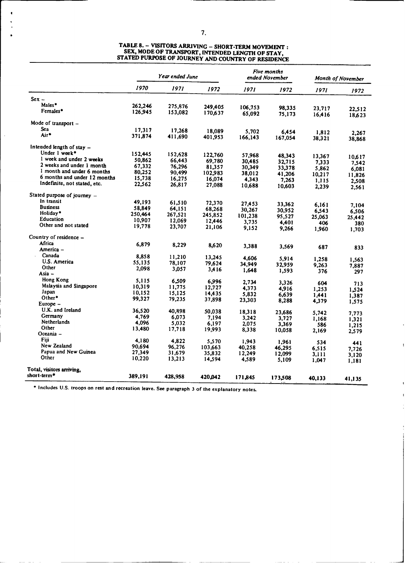|                              |         | Year ended June |         | Five months<br>ended November |         | Month of November |                 |
|------------------------------|---------|-----------------|---------|-------------------------------|---------|-------------------|-----------------|
|                              | 1970    | 1971            | 1972    | 1971                          | 1972    | 1971              | 1972            |
| $Sex -$                      |         |                 |         |                               |         |                   |                 |
| Males*                       | 262,246 | 275,876         | 249,405 |                               |         |                   |                 |
| Females*                     | 126,945 | 153,082         | 170,637 | 106,753                       | 98,335  | 23,717            | 22,512          |
|                              |         |                 |         | 65,092                        | 75,173  | 16,416            | 18,623          |
| Mode of transport $-$        |         |                 |         |                               |         |                   |                 |
| Sea                          | 17,317  | 17.268          | 18.089  | 5,702                         | 6.454   | 1,812             |                 |
| Air*                         | 371,874 | 411,690         | 401,953 | 166,143                       | 167,054 | 38,321            | 2.267<br>38,868 |
| Intended length of stay $-$  |         |                 |         |                               |         |                   |                 |
| Under 1 week*                |         |                 |         |                               |         |                   |                 |
|                              | 152,445 | 152,628         | 122,760 | 57,968                        | 48,343  | 13,367            | 10.617          |
| 1 week and under 2 weeks     | 50,862  | 66,443          | 69,780  | 30,485                        | 32.715  | 7.333             | 7,542           |
| 2 weeks and under 1 month    | 67,332  | 76,296          | 81,357  | 30,349                        | 33,378  | 5,862             | 6.081           |
| 1 month and under 6 months   | 80,252  | 90,499          | 102,983 | 38,012                        | 41,206  | 10,217            | 11,826          |
| 6 months and under 12 months | 15,738  | 16,275          | 16,074  | 4.343                         | 7,263   | 1,115             | 2.508           |
| Indefinite, not stated, etc. | 22,562  | 26,817          | 27,088  | 10,688                        | 10,603  | 2,239             | 2,561           |
| Stated purpose of journey -  |         |                 |         |                               |         |                   |                 |
| In transit                   | 49,193  | 61,510          | 72,370  |                               |         |                   |                 |
| <b>Business</b>              | 58,849  | 64,151          |         | 27,453                        | 33,362  | 6.161             | 7.104           |
| Holiday*                     | 250,464 | 267,521         | 68,268  | 30,267                        | 30,952  | 6.543             | 6,506           |
| Education                    | 10,907  | 12,069          | 245,852 | 101,238                       | 95,527  | 25,063            | 25,442          |
| Other and not stated         | 19,778  |                 | 12,446  | 3,735                         | 4,401   | 406               | 380             |
|                              |         | 23,707          | 21,106  | 9,152                         | 9,266   | 1,960             | 1,703           |
| Country of residence –       |         |                 |         |                               |         |                   |                 |
| Africa                       | 6,879   | 8,229           | 8,620   | 3,388                         | 3.569   |                   |                 |
| America –                    |         |                 |         |                               |         | 687               | 833             |
| Canada                       | 8,858   | 11,210          | 13,245  | 4.606                         |         |                   |                 |
| U.S. America                 | 55.135  | 78,107          | 79.624  |                               | 5,914   | 1,258             | 1,563           |
| Other                        | 2,098   | 3,057           | 3,416   | 34,949                        | 32,959  | 9,263             | 7.887           |
| Asia –                       |         |                 |         | 1,648                         | 1,593   | 376               | 297             |
| Hong Kong                    | 5.115   | 6.509           | 6.996   |                               |         |                   |                 |
| Malaysia and Singapore       | 10,319  | 11,775          | 12,727  | 2,734                         | 3.326   | 604               | 713             |
| Japan                        | 10,152  | 15,125          |         | 4,373                         | 4.916   | 1,253             | 1.524           |
| Other*                       | 99,327  | 79,235          | 14,435  | 5,832                         | 6,639   | 1.441             | 1,387           |
| Europe -                     |         |                 | 37,898  | 23,303                        | 8,288   | 4,379             | 1,575           |
| U.K. and Ireland             | 36,520  | 40,898          | 50,038  | 18,318                        |         |                   |                 |
| Germany                      | 4,769   | 6,073           | 7,194   | 3,242                         | 23,686  | 5,742             | 7,773           |
| Netherlands                  | 4,096   | 5,032           | 6,197   | 2,075                         | 3,727   | 1,168             | 1,321           |
| Other                        | 13,480  | 17,718          | 19,993  |                               | 3.369   | 586               | 1,215           |
| Oceania -                    |         |                 |         | 8,338                         | 10,058  | 2,169             | 2,579           |
| Fiii                         | 4,180   | 4.822           | 5.570   | 1.943                         |         |                   |                 |
| New Zealand                  | 90.694  | 96,276          |         |                               | 1,961   | 534               | 441             |
| Papua and New Guinea         | 27,349  | 31.679          | 103,663 | 40,258                        | 46,295  | 6,515             | 7,726           |
| Other                        | 10,220  | 13,213          | 35,832  | 12,249                        | 12,099  | 3.111             | 3,120           |
|                              |         |                 | 14,594  | 4,589                         | 5,109   | 1.047             | 1,181           |
| Total, visitors arriving,    |         |                 |         |                               |         |                   |                 |
| short-term*                  | 389,191 | 428,958         | 420.042 | 171,845                       | 173,508 | 40,133            | 41,135          |

# **TABLE 8.** - **VISITORS ARRIVING** - **SHORT-TERM MOVEMENT : SEX, MODE OF TRANSPORT, INTENDED LENGTH OF STAY, STATED PURPOSE OF JOURNEY AND COUNTRY OF RESIDENCE**

**\*** Includes **U.S. troops on rest and recreation leave. See paragraph 3 of the explanatory notes.**